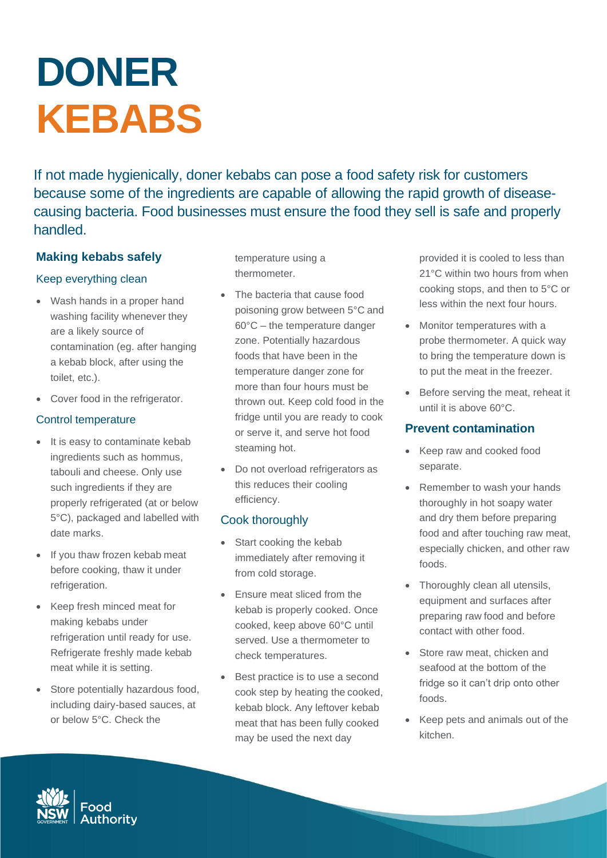# **DONER KEBABS**

If not made hygienically, doner kebabs can pose a food safety risk for customers because some of the ingredients are capable of allowing the rapid growth of diseasecausing bacteria. Food businesses must ensure the food they sell is safe and properly handled.

## **Making kebabs safely**

#### Keep everything clean

- Wash hands in a proper hand washing facility whenever they are a likely source of contamination (eg. after hanging a kebab block, after using the toilet, etc.).
- Cover food in the refrigerator.

## Control temperature

- It is easy to contaminate kebab ingredients such as hommus, tabouli and cheese. Only use such ingredients if they are properly refrigerated (at or below 5°C), packaged and labelled with date marks.
- If you thaw frozen kebab meat before cooking, thaw it under refrigeration.
- Keep fresh minced meat for making kebabs under refrigeration until ready for use. Refrigerate freshly made kebab meat while it is setting.
- Store potentially hazardous food, including dairy-based sauces, at or below 5°C. Check the

temperature using a thermometer.

- The bacteria that cause food poisoning grow between 5°C and 60°C – the temperature danger zone. Potentially hazardous foods that have been in the temperature danger zone for more than four hours must be thrown out. Keep cold food in the fridge until you are ready to cook or serve it, and serve hot food steaming hot.
- Do not overload refrigerators as this reduces their cooling efficiency.

## Cook thoroughly

- Start cooking the kebab immediately after removing it from cold storage.
- Ensure meat sliced from the kebab is properly cooked. Once cooked, keep above 60°C until served. Use a thermometer to check temperatures.
- Best practice is to use a second cook step by heating the cooked, kebab block. Any leftover kebab meat that has been fully cooked may be used the next day

provided it is cooled to less than 21°C within two hours from when cooking stops, and then to 5°C or less within the next four hours.

- Monitor temperatures with a probe thermometer. A quick way to bring the temperature down is to put the meat in the freezer.
- Before serving the meat, reheat it until it is above 60°C.

#### **Prevent contamination**

- Keep raw and cooked food separate.
- Remember to wash your hands thoroughly in hot soapy water and dry them before preparing food and after touching raw meat, especially chicken, and other raw foods.
- Thoroughly clean all utensils, equipment and surfaces after preparing raw food and before contact with other food.
- Store raw meat, chicken and seafood at the bottom of the fridge so it can't drip onto other foods.
- Keep pets and animals out of the kitchen.